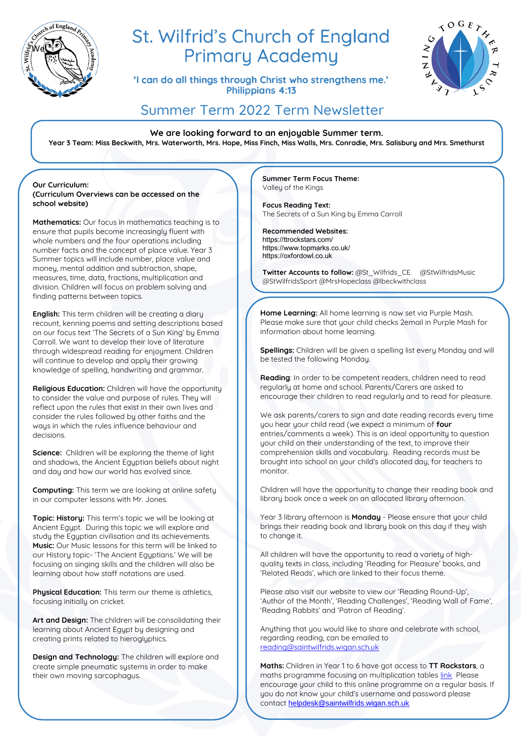

# St. Wilfrid's Church of England **Primary Academy**

'I can do all things through Christ who strengthens me.' Philippians 4:13



## Summer Term 2022 Term Newsletter

**We are looking forward to an enjoyable Summer term. Year 3 Team: Miss Beckwith, Mrs. Waterworth, Mrs. Hope, Miss Finch, Miss Walls, Mrs. Conradie, Mrs. Salisbury and Mrs. Smethurst**

**Our Curriculum: (Curriculum Overviews can be accessed on the school website)**

**Mathematics:** Our focus in mathematics teaching is to ensure that pupils become increasingly fluent with whole numbers and the four operations including number facts and the concept of place value. Year 3 Summer topics will include number, place value and money, mental addition and subtraction, shape, measures, time, data, fractions, multiplication and division. Children will focus on problem solving and finding patterns between topics.

**English:** This term children will be creating a diary recount, kenning poems and setting descriptions based on our focus text 'The Secrets of a Sun King' by Emma Carroll. We want to develop their love of literature through widespread reading for enjoument. Children will continue to develop and apply their growing knowledge of spelling, handwriting and grammar.

**Religious Education:** Children will have the opportunity to consider the value and purpose of rules. They will reflect upon the rules that exist in their own lives and consider the rules followed by other faiths and the ways in which the rules influence behaviour and decisions.

**Science:** Children will be exploring the theme of light and shadows, the Ancient Egyptian beliefs about night and day and how our world has evolved since.

**Computing:** This term we are looking at online safety in our computer lessons with Mr. Jones.

**Topic: History:** This term's topic we will be looking at Ancient Egypt. During this topic we will explore and study the Egyptian civilisation and its achievements. **Music:** Our Music lessons for this term will be linked to our History topic- 'The Ancient Egyptians.' We will be focusing on singing skills and the children will also be learning about how staff notations are used.

**Physical Education:** This term our theme is athletics, focusing initially on cricket.

**Art and Design:** The children will be consolidating their learning about Ancient Egypt by designing and creating prints related to hieroglyphics.

**Design and Technology:** The children will explore and create simple pneumatic systems in order to make their own moving sarcophagus.

**Summer Term Focus Theme:**  Valley of the Kings

**Focus Reading Text:**  The Secrets of a Sun King by Emma Carroll

**Recommended Websites:** https://ttrockstars.com/ https://www.topmarks.co.uk/ https://oxfordowl.co.uk

**Twitter Accounts to follow: @St\_Wilfrids\_CE @StWilfridsMusic** @StWilfridsSport @MrsHopeclass @lbeckwithclass

**Home Learning:** All home learning is now set via Purple Mash. Please make sure that your child checks 2email in Purple Mash for information about home learning.

**Spellings:** Children will be given a spelling list every Monday and will be tested the following Monday.

**Reading**: In order to be competent readers, children need to read regularly at home and school. Parents/Carers are asked to encourage their children to read regularly and to read for pleasure.

We ask parents/carers to sign and date reading records every time you hear your child read (we expect a minimum of **four** entries/comments a week). This is an ideal opportunity to question your child on their understanding of the text, to improve their comprehension skills and vocabulary. Reading records must be brought into school on your child's allocated day, for teachers to monitor.

Children will have the opportunity to change their reading book and library book once a week on an allocated library afternoon.

Year 3 library afternoon is **Monday** - Please ensure that your child brings their reading book and library book on this day if they wish to change it.

All children will have the opportunity to read a variety of highquality texts in class, including 'Reading for Pleasure' books, and 'Related Reads', which are linked to their focus theme.

Please also visit our website to view our 'Reading Round-Up', 'Author of the Month', 'Reading Challenges', 'Reading Wall of Fame', 'Reading Rabbits' and 'Patron of Reading'.

Anything that you would like to share and celebrate with school, regarding reading, can be emailed to [reading@saintwilfrids.wigan.sch.uk](mailto:reading@saintwilfrids.wigan.sch.uk)

**Maths:** Children in Year 1 to 6 have got access to **TT Rockstars**, a maths programme focusing on multiplication table[s link](https://play.ttrockstars.com/auth/school/student) Please encourage your child to this online programme on a regular basis. If you do not know your child's username and password please contact [helpdesk@saintwilfrids.wigan.sch.uk](mailto:helpdesk@saintwilfrids.wigan.sch.uk)